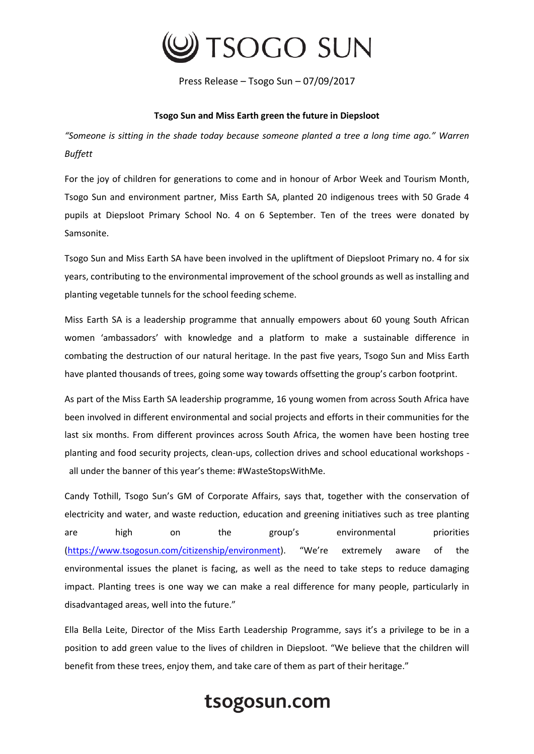

Press Release – Tsogo Sun – 07/09/2017

## **Tsogo Sun and Miss Earth green the future in Diepsloot**

*"Someone is sitting in the shade today because someone planted a tree a long time ago." Warren Buffett*

For the joy of children for generations to come and in honour of Arbor Week and Tourism Month, Tsogo Sun and environment partner, Miss Earth SA, planted 20 indigenous trees with 50 Grade 4 pupils at Diepsloot Primary School No. 4 on 6 September. Ten of the trees were donated by Samsonite.

Tsogo Sun and Miss Earth SA have been involved in the upliftment of Diepsloot Primary no. 4 for six years, contributing to the environmental improvement of the school grounds as well as installing and planting vegetable tunnels for the school feeding scheme.

Miss Earth SA is a leadership programme that annually empowers about 60 young South African women 'ambassadors' with knowledge and a platform to make a sustainable difference in combating the destruction of our natural heritage. In the past five years, Tsogo Sun and Miss Earth have planted thousands of trees, going some way towards offsetting the group's carbon footprint.

As part of the Miss Earth SA leadership programme, 16 young women from across South Africa have been involved in different environmental and social projects and efforts in their communities for the last six months. From different provinces across South Africa, the women have been hosting tree planting and food security projects, clean-ups, collection drives and school educational workshops all under the banner of this year's theme: #WasteStopsWithMe.

Candy Tothill, Tsogo Sun's GM of Corporate Affairs, says that, together with the conservation of electricity and water, and waste reduction, education and greening initiatives such as tree planting are high on the group's environmental priorities [\(https://www.tsogosun.com/citizenship/environment](https://www.tsogosun.com/citizenship/environment)). "We're extremely aware of the environmental issues the planet is facing, as well as the need to take steps to reduce damaging impact. Planting trees is one way we can make a real difference for many people, particularly in disadvantaged areas, well into the future."

Ella Bella Leite, Director of the Miss Earth Leadership Programme, says it's a privilege to be in a position to add green value to the lives of children in Diepsloot. "We believe that the children will benefit from these trees, enjoy them, and take care of them as part of their heritage."

## tsogosun.com